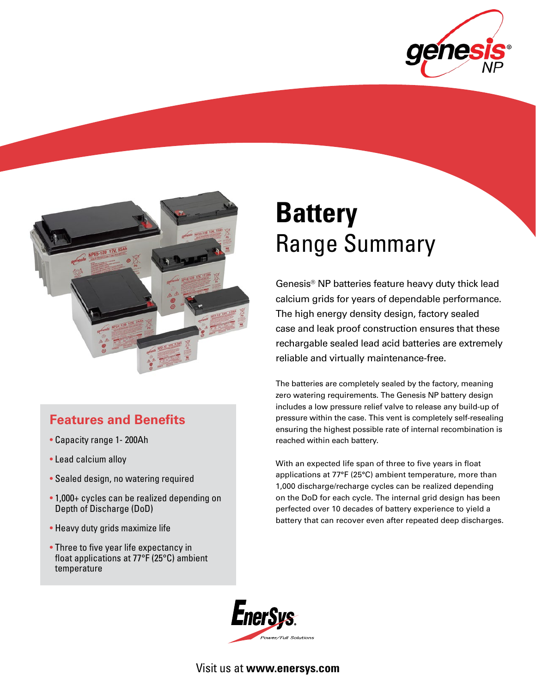



# **Features and Benefits**

- Capacity range 1- 200Ah
- Lead calcium alloy
- Sealed design, no watering required
- 1,000+ cycles can be realized depending on Depth of Discharge (DoD)
- Heavy duty grids maximize life
- Three to five year life expectancy in float applications at 77°F (25°C) ambient temperature

# **Battery** Range Summary

Genesis® NP batteries feature heavy duty thick lead calcium grids for years of dependable performance. The high energy density design, factory sealed case and leak proof construction ensures that these rechargable sealed lead acid batteries are extremely reliable and virtually maintenance-free.

The batteries are completely sealed by the factory, meaning zero watering requirements. The Genesis NP battery design includes a low pressure relief valve to release any build-up of pressure within the case. This vent is completely self-resealing ensuring the highest possible rate of internal recombination is reached within each battery.

With an expected life span of three to five years in float applications at 77°F (25°C) ambient temperature, more than 1,000 discharge/recharge cycles can be realized depending on the DoD for each cycle. The internal grid design has been perfected over 10 decades of battery experience to yield a battery that can recover even after repeated deep discharges.



Visit us at **www.enersys.com**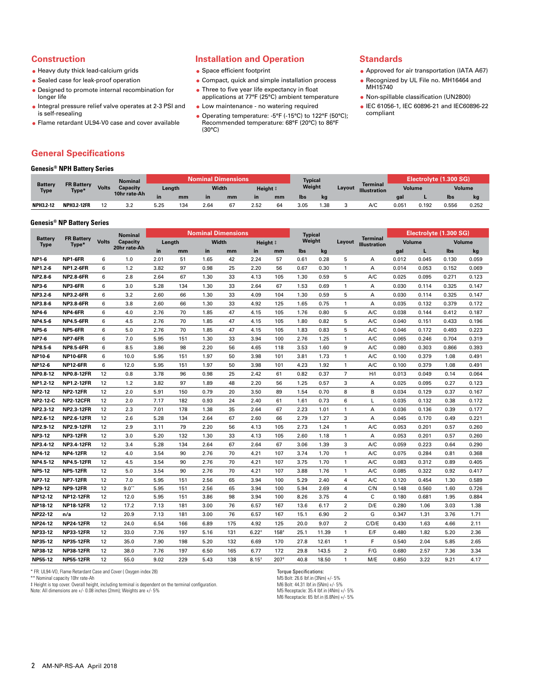#### **Construction**

- Heavy duty thick lead-calcium grids
- Sealed case for leak-proof operation
- Designed to promote internal recombination for longer life
- Integral pressure relief valve operates at 2-3 PSI and is self-resealing
- Flame retardant UL94-V0 case and cover available

# **Installation and Operation**

- **Space efficient footprint**
- Compact, quick and simple installation process
- Three to five year life expectancy in float applications at 77°F (25°C) ambient temperature
- Low maintenance no watering required
- Operating temperature: -5°F (-15°C) to 122°F (50°C); Recommended temperature: 68°F (20°C) to 86°F (30°C)

#### **Standards**

- Approved for air transportation (IATA A67)
- Recognized by UL File no. MH16464 and MH15740
- Non-spillable classification (UN2800)
- IEC 61056-1, IEC 60896-21 and IEC60896-22 compliant

# **General Specifications**

|                        | <b>Genesis<sup>®</sup> NPH Battery Series</b> |              |              |        |     |                           |    |           |    |                |     |        |                                        |        |                        |               |       |
|------------------------|-----------------------------------------------|--------------|--------------|--------|-----|---------------------------|----|-----------|----|----------------|-----|--------|----------------------------------------|--------|------------------------|---------------|-------|
| Battery<br><b>Type</b> |                                               |              | Nominal      |        |     | <b>Nominal Dimensions</b> |    |           |    | <b>Typical</b> |     |        |                                        |        | Electrolyte (1.300 SG) |               |       |
|                        | <b>FR Battery</b><br>Type*                    | <b>Volts</b> | Capacity     | Length |     | Width                     |    | Height ‡  |    | Weight         |     | Layout | <b>Terminal</b><br><b>Illustration</b> | Volume |                        | <b>Volume</b> |       |
|                        |                                               |              | 10hr rate-Ah | in     | mm  | <b>in</b>                 | mm | <b>in</b> | mm | lbs            | kg  |        |                                        | gal    |                        | lbs           | kg    |
| <b>NPH3.2-12</b>       | <b>NPH3.2-12FR</b>                            | 12           | 3.2          | 5.25   | 134 | 2.64                      | 67 | 2.52      | 64 | 3.05           | .38 |        | A/C                                    | 0.051  | 0.192                  | 0.556         | 0.252 |

### **Genesis® NP Battery Series**

| <b>Battery</b><br><b>Type</b> |                            |              | <b>Nominal</b>  |        |     |      | <b>Nominal Dimensions</b> |          |        | <b>Typical</b> |       |                         |                                        | Electrolyte (1.300 SG) |       |        |       |
|-------------------------------|----------------------------|--------------|-----------------|--------|-----|------|---------------------------|----------|--------|----------------|-------|-------------------------|----------------------------------------|------------------------|-------|--------|-------|
|                               | <b>FR Battery</b><br>Type* | <b>Volts</b> | <b>Capacity</b> | Length |     |      | Width                     | Height # |        | Weight         |       | Layout                  | <b>Terminal</b><br><b>Illustration</b> | <b>Volume</b>          |       | Volume |       |
|                               |                            |              | 20hr rate-Ah    | in     | mm  | in   | mm                        | in       | mm     | lbs            | kg    |                         |                                        | gal                    | г     | Ibs    | kg    |
| <b>NP1-6</b>                  | NP1-6FR                    | 6            | 1.0             | 2.01   | 51  | 1.65 | 42                        | 2.24     | 57     | 0.61           | 0.28  | 5                       | А                                      | 0.012                  | 0.045 | 0.130  | 0.059 |
| NP1.2-6                       | <b>NP1.2-6FR</b>           | 6            | 1.2             | 3.82   | 97  | 0.98 | 25                        | 2.20     | 56     | 0.67           | 0.30  | 1                       | A                                      | 0.014                  | 0.053 | 0.152  | 0.069 |
| NP2.8-6                       | <b>NP2.8-6FR</b>           | 6            | 2.8             | 2.64   | 67  | 1.30 | 33                        | 4.13     | 105    | 1.30           | 0.59  | 5                       | A/C                                    | 0.025                  | 0.095 | 0.271  | 0.123 |
| <b>NP3-6</b>                  | NP3-6FR                    | 6            | 3.0             | 5.28   | 134 | 1.30 | 33                        | 2.64     | 67     | 1.53           | 0.69  | $\mathbf{1}$            | A                                      | 0.030                  | 0.114 | 0.325  | 0.147 |
| NP3.2-6                       | <b>NP3.2-6FR</b>           | 6            | 3.2             | 2.60   | 66  | 1.30 | 33                        | 4.09     | 104    | 1.30           | 0.59  | 5                       | A                                      | 0.030                  | 0.114 | 0.325  | 0.147 |
| NP3.8-6                       | <b>NP3.8-6FR</b>           | 6            | 3.8             | 2.60   | 66  | 1.30 | 33                        | 4.92     | 125    | 1.65           | 0.75  | 1                       | А                                      | 0.035                  | 0.132 | 0.379  | 0.172 |
| <b>NP4-6</b>                  | NP4-6FR                    | 6            | 4.0             | 2.76   | 70  | 1.85 | 47                        | 4.15     | 105    | 1.76           | 0.80  | 5                       | A/C                                    | 0.038                  | 0.144 | 0.412  | 0.187 |
| NP4.5-6                       | <b>NP4.5-6FR</b>           | 6            | 4.5             | 2.76   | 70  | 1.85 | 47                        | 4.15     | 105    | 1.80           | 0.82  | 5                       | A/C                                    | 0.040                  | 0.151 | 0.433  | 0.196 |
| <b>NP5-6</b>                  | NP5-6FR                    | 6            | 5.0             | 2.76   | 70  | 1.85 | 47                        | 4.15     | 105    | 1.83           | 0.83  | 5                       | A/C                                    | 0.046                  | 0.172 | 0.493  | 0.223 |
| <b>NP7-6</b>                  | NP7-6FR                    | 6            | 7.0             | 5.95   | 151 | 1.30 | 33                        | 3.94     | 100    | 2.76           | 1.25  | 1                       | A/C                                    | 0.065                  | 0.246 | 0.704  | 0.319 |
| NP8.5-6                       | <b>NP8.5-6FR</b>           | 6            | 8.5             | 3.86   | 98  | 2.20 | 56                        | 4.65     | 118    | 3.53           | 1.60  | 9                       | A/C                                    | 0.080                  | 0.303 | 0.866  | 0.393 |
| <b>NP10-6</b>                 | <b>NP10-6FR</b>            | 6            | 10.0            | 5.95   | 151 | 1.97 | 50                        | 3.98     | 101    | 3.81           | 1.73  | 1                       | A/C                                    | 0.100                  | 0.379 | 1.08   | 0.491 |
| <b>NP12-6</b>                 | <b>NP12-6FR</b>            | 6            | 12.0            | 5.95   | 151 | 1.97 | 50                        | 3.98     | 101    | 4.23           | 1.92  | 1                       | A/C                                    | 0.100                  | 0.379 | 1.08   | 0.491 |
| NP0.8-12                      | <b>NP0.8-12FR</b>          | 12           | 0.8             | 3.78   | 96  | 0.98 | 25                        | 2.42     | 61     | 0.82           | 0.37  | $\overline{7}$          | H/I                                    | 0.013                  | 0.049 | 0.14   | 0.064 |
| NP1.2-12                      | <b>NP1.2-12FR</b>          | 12           | 1.2             | 3.82   | 97  | 1.89 | 48                        | 2.20     | 56     | 1.25           | 0.57  | 3                       | А                                      | 0.025                  | 0.095 | 0.27   | 0.123 |
| <b>NP2-12</b>                 | <b>NP2-12FR</b>            | 12           | 2.0             | 5.91   | 150 | 0.79 | 20                        | 3.50     | 89     | 1.54           | 0.70  | 8                       | B                                      | 0.034                  | 0.129 | 0.37   | 0.167 |
| <b>NP2-12-C</b>               | <b>NP2-12CFR</b>           | 12           | 2.0             | 7.17   | 182 | 0.93 | 24                        | 2.40     | 61     | 1.61           | 0.73  | 6                       | L                                      | 0.035                  | 0.132 | 0.38   | 0.172 |
| NP2.3-12                      | <b>NP2.3-12FR</b>          | 12           | 2.3             | 7.01   | 178 | 1.38 | 35                        | 2.64     | 67     | 2.23           | 1.01  | 1                       | А                                      | 0.036                  | 0.136 | 0.39   | 0.177 |
| NP2.6-12                      | <b>NP2.6-12FR</b>          | 12           | 2.6             | 5.28   | 134 | 2.64 | 67                        | 2.60     | 66     | 2.79           | 1.27  | 3                       | Α                                      | 0.045                  | 0.170 | 0.49   | 0.221 |
| NP2.9-12                      | <b>NP2.9-12FR</b>          | 12           | 2.9             | 3.11   | 79  | 2.20 | 56                        | 4.13     | 105    | 2.73           | 1.24  | 1                       | A/C                                    | 0.053                  | 0.201 | 0.57   | 0.260 |
| <b>NP3-12</b>                 | <b>NP3-12FR</b>            | 12           | 3.0             | 5.20   | 132 | 1.30 | 33                        | 4.13     | 105    | 2.60           | 1.18  | $\mathbf{1}$            | А                                      | 0.053                  | 0.201 | 0.57   | 0.260 |
| NP3.4-12                      | <b>NP3.4-12FR</b>          | 12           | 3.4             | 5.28   | 134 | 2.64 | 67                        | 2.64     | 67     | 3.06           | 1.39  | 3                       | A/C                                    | 0.059                  | 0.223 | 0.64   | 0.290 |
| <b>NP4-12</b>                 | <b>NP4-12FR</b>            | 12           | 4.0             | 3.54   | 90  | 2.76 | 70                        | 4.21     | 107    | 3.74           | 1.70  | 1                       | A/C                                    | 0.075                  | 0.284 | 0.81   | 0.368 |
| NP4.5-12                      | <b>NP4.5-12FR</b>          | 12           | 4.5             | 3.54   | 90  | 2.76 | 70                        | 4.21     | 107    | 3.75           | 1.70  | 1                       | A/C                                    | 0.083                  | 0.312 | 0.89   | 0.405 |
| <b>NP5-12</b>                 | <b>NP5-12FR</b>            | 12           | 5.0             | 3.54   | 90  | 2.76 | 70                        | 4.21     | 107    | 3.88           | 1.76  | 1                       | A/C                                    | 0.085                  | 0.322 | 0.92   | 0.417 |
| <b>NP7-12</b>                 | <b>NP7-12FR</b>            | 12           | 7.0             | 5.95   | 151 | 2.56 | 65                        | 3.94     | 100    | 5.29           | 2.40  | $\overline{4}$          | A/C                                    | 0.120                  | 0.454 | 1.30   | 0.589 |
| <b>NP9-12</b>                 | <b>NP9-12FR</b>            | 12           | 9.0"            | 5.95   | 151 | 2.56 | 65                        | 3.94     | 100    | 5.94           | 2.69  | 4                       | C/N                                    | 0.148                  | 0.560 | 1.60   | 0.726 |
| NP12-12                       | <b>NP12-12FR</b>           | 12           | 12.0            | 5.95   | 151 | 3.86 | 98                        | 3.94     | 100    | 8.26           | 3.75  | $\overline{4}$          | C                                      | 0.180                  | 0.681 | 1.95   | 0.884 |
| <b>NP18-12</b>                | <b>NP18-12FR</b>           | 12           | 17.2            | 7.13   | 181 | 3.00 | 76                        | 6.57     | 167    | 13.6           | 6.17  | $\overline{2}$          | D/E                                    | 0.280                  | 1.06  | 3.03   | 1.38  |
| NP22-12                       | n/a                        | 12           | 20.9            | 7.13   | 181 | 3.00 | 76                        | 6.57     | 167    | 15.1           | 6.90  | $\overline{2}$          | G                                      | 0.347                  | 1.31  | 3.76   | 1.71  |
| NP24-12                       | <b>NP24-12FR</b>           | 12           | 24.0            | 6.54   | 166 | 6.89 | 175                       | 4.92     | 125    | 20.0           | 9.07  | $\overline{2}$          | C/D/E                                  | 0.430                  | 1.63  | 4.66   | 2.11  |
| NP33-12                       | <b>NP33-12FR</b>           | 12           | 33.0            | 7.76   | 197 | 5.16 | 131                       | $6.22*$  | $158*$ | 25.1           | 11.39 | 1                       | E/F                                    | 0.480                  | 1.82  | 5.20   | 2.36  |
| NP35-12                       | <b>NP35-12FR</b>           | 12           | 35.0            | 7.90   | 198 | 5.20 | 132                       | 6.69     | 170    | 27.8           | 12.61 | 1                       | F                                      | 0.540                  | 2.04  | 5.85   | 2.65  |
| NP38-12                       | <b>NP38-12FR</b>           | 12           | 38.0            | 7.76   | 197 | 6.50 | 165                       | 6.77     | 172    | 29.8           | 143.5 | $\overline{\mathbf{2}}$ | F/G                                    | 0.680                  | 2.57  | 7.36   | 3.34  |
| <b>NP55-12</b>                | <b>NP55-12FR</b>           | 12           | 55.0            | 9.02   | 229 | 5.43 | 138                       | $8.15*$  | 207#   | 40.8           | 18.50 | 1                       | M/E                                    | 0.850                  | 3.22  | 9.21   | 4.17  |

\* FR: UL94-VO, Flame Retardant Case and Cover ( Oxygen index 28)

\*\* Nominal capacity 10hr rate-Ah

‡ Height is top cover. Overall height, including terminal is dependent on the terminal configuration.

Note: All dimensions are +/- 0.08 inches (2mm); Weights are +/- 5%

Torque Specifications: M5 Bolt: 26.6 lbf.in (3Nm) +/- 5%

M6 Bolt: 44.31 lbf.in (5Nm) +/- 5% M5 Receptacle: 35.4 lbf.in (4Nm) +/- 5% M6 Receptacle: 65 lbf.in (6.8Nm) +/- 5%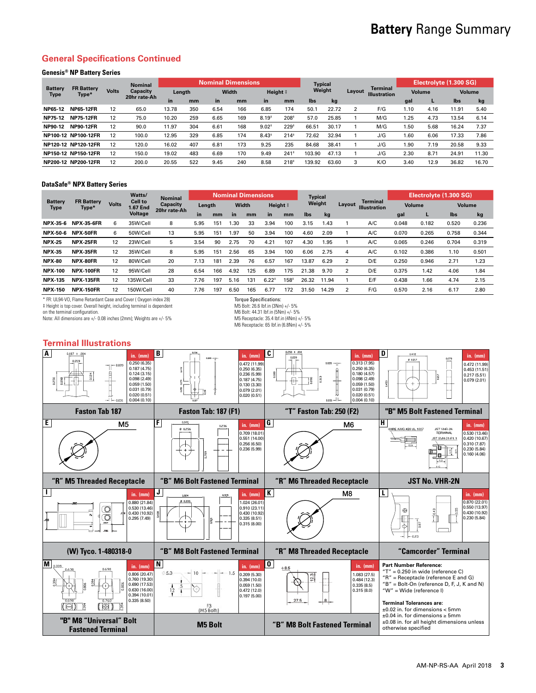# **Battery** Range Summary

# **General Specifications Continued**

## **Genesis® NP Battery Series**

| <b>Battery</b><br>Type |                            |              | <b>Nominal</b> |        |     | <b>Nominal Dimensions</b> |     |          |                  | <b>Typical</b> |       |        |                                        | Electrolyte (1.300 SG) |        |               |       |  |
|------------------------|----------------------------|--------------|----------------|--------|-----|---------------------------|-----|----------|------------------|----------------|-------|--------|----------------------------------------|------------------------|--------|---------------|-------|--|
|                        | <b>FR Battery</b><br>Type* | <b>Volts</b> | Capacity       | Length |     | Width                     |     | Height # |                  | Weight         |       | Layout | <b>Terminal</b><br><b>Illustration</b> |                        | Volume | <b>Volume</b> |       |  |
|                        |                            |              | 20hr rate-Ah   | in     | mm  | in.                       | mm  | in       | mm               | lbs            | kg    |        |                                        | gal                    | L      | lbs           | kg    |  |
| NP65-12                | <b>NP65-12FR</b>           | 12           | 65.0           | 13.78  | 350 | 6.54                      | 166 | 6.85     | 174              | 50.1           | 22.72 |        | F/G                                    | 1.10                   | 4.16   | 11.91         | 5.40  |  |
| NP75-12                | <b>NP75-12FR</b>           | 12           | 75.0           | 10.20  | 259 | 6.65                      | 169 | $8.19*$  | 208#             | 57.0           | 25.85 |        | M/G                                    | 1.25                   | 4.73   | 13.54         | 6.14  |  |
| NP90-12                | <b>NP90-12FR</b>           | 12           | 90.0           | 11.97  | 304 | 6.61                      | 168 | $9.02*$  | $229*$           | 66.51          | 30.17 |        | M/G                                    | 1.50                   | 5.68   | 16.24         | 7.37  |  |
|                        | NP100-12 NP100-12FR        | 12           | 100.0          | 12.95  | 329 | 6.85                      | 174 | $8.43*$  | $214*$           | 72.62          | 32.94 |        | J/G                                    | 1.60                   | 6.06   | 17.33         | 7.86  |  |
|                        | NP120-12 NP120-12FR        | 12           | 120.0          | 16.02  | 407 | 6.81                      | 173 | 9.25     | 235              | 84.68          | 38.41 |        | J/G                                    | 1.90                   | 7.19   | 20.58         | 9.33  |  |
|                        | NP150-12 NP150-12FR        | 12           | 150.0          | 19.02  | 483 | 6.69                      | 170 | 9.49     | 241              | 103.90         | 47.13 |        | J/G                                    | 2.30                   | 8.71   | 24.91         | 11.30 |  |
|                        | NP200-12 NP200-12FR        | 12           | 200.0          | 20.55  | 522 | 9.45                      | 240 | 8.58     | 218 <sup>‡</sup> | 139.92         | 63.60 |        | K/O                                    | 3.40                   | 12.9   | 36.82         | 16.70 |  |

#### **DataSafe® NPX Battery Series**

| <b>Battery</b><br><b>Type</b> |                            |              | Watts/                     | <b>Nominal</b> |      |        |           | <b>Nominal Dimensions</b> |         |          | <b>Typical</b> |        |                |                                 | Electrolyte (1.300 SG) |       |               |       |
|-------------------------------|----------------------------|--------------|----------------------------|----------------|------|--------|-----------|---------------------------|---------|----------|----------------|--------|----------------|---------------------------------|------------------------|-------|---------------|-------|
|                               | <b>FR Battery</b><br>Type* | <b>Volts</b> | <b>Cell to</b><br>1.67 End | Capacity       |      | Length |           | Width                     |         | Height # |                | Weight |                | Terminal<br><b>Illustration</b> | Volume                 |       | <b>Volume</b> |       |
|                               |                            |              | <b>Voltage</b>             | 20hr rate-Ah   | in   | mm     | <b>in</b> | mm                        | in      | mm       | lbs            | kg     |                |                                 | gal                    | ш     | lbs           | kg    |
| NPX-35-6                      | <b>NPX-35-6FR</b>          | 6            | 35W/Cell                   | 8              | 5.95 | 151    | 30.،      | 33                        | 3.94    | 100      | 3.15           | 1.43   |                | A/C                             | 0.048                  | 0.182 | 0.520         | 0.236 |
| NPX-50-6                      | NPX-50FR                   | 6            | 50W/Cell                   | 13             | 5.95 | 151    | 1.97      | 50                        | 3.94    | 100      | 4.60           | 2.09   |                | A/C                             | 0.070                  | 0.265 | 0.758         | 0.344 |
| <b>NPX-25</b>                 | <b>NPX-25FR</b>            | 12           | 23W/Cell                   | 5              | 3.54 | 90     | 2.75      | 70                        | 4.21    | 107      | 4.30           | .95    |                | A/C                             | 0.065                  | 0.246 | 0.704         | 0.319 |
| <b>NPX-35</b>                 | NPX-35FR                   | 12           | 35W/Cell                   | 8              | 5.95 | 151    | 2.56      | 65                        | 3.94    | 100      | 6.06           | 2.75   | 4              | A/C                             | 0.102                  | 0.386 | 1.10          | 0.501 |
| <b>NPX-80</b>                 | NPX-80FR                   | 12           | 80W/Cell                   | 20             | 7.13 | 181    | 2.39      | 76                        | 6.57    | 167      | 13.87          | 6.29   | $\overline{2}$ | D/E                             | 0.250                  | 0.946 | 2.71          | 1.23  |
| <b>NPX-100</b>                | <b>NPX-100FR</b>           | 12           | 95W/Cell                   | 28             | 6.54 | 166    | 4.92      | 125                       | 6.89    | 175      | 21.38          | 9.70   | $\overline{2}$ | D/E                             | 0.375                  | 1.42  | 4.06          | 1.84  |
| <b>NPX-135</b>                | <b>NPX-135FR</b>           | 12           | 135W/Cell                  | 33             | 7.76 | 197    | 5.16      | 131                       | $6.22*$ | $158*$   | 26.32          | 11.94  |                | E/F                             | 0.438                  | 1.66  | 4.74          | 2.15  |
| <b>NPX-150</b>                | <b>NPX-150FR</b>           | 12           | 150W/Cell                  | 40             | 7.76 | 197    | 6.50      | 165                       | 6.77    | 172      | 31.50          | 14.29  | $\overline{2}$ | F/G                             | 0.570                  | 2.16  | 6.17          | 2.80  |

\* FR: UL94-VO, Flame Retardant Case and Cover ( Oxygen index 28)

‡ Height is top cover. Overall height, including terminal is dependent on the terminal configuration.

Note: All dimensions are +/- 0.08 inches (2mm); Weights are +/- 5%

Torque Specifications: M5 Bolt: 26.6 lbf.in (3Nm) +/- 5% M6 Bolt: 44.31 lbf.in (5Nm) +/- 5% M5 Receptacle: 35.4 lbf.in (4Nm) +/- 5%

M6 Receptacle: 65 lbf.in (6.8Nm) +/- 5%